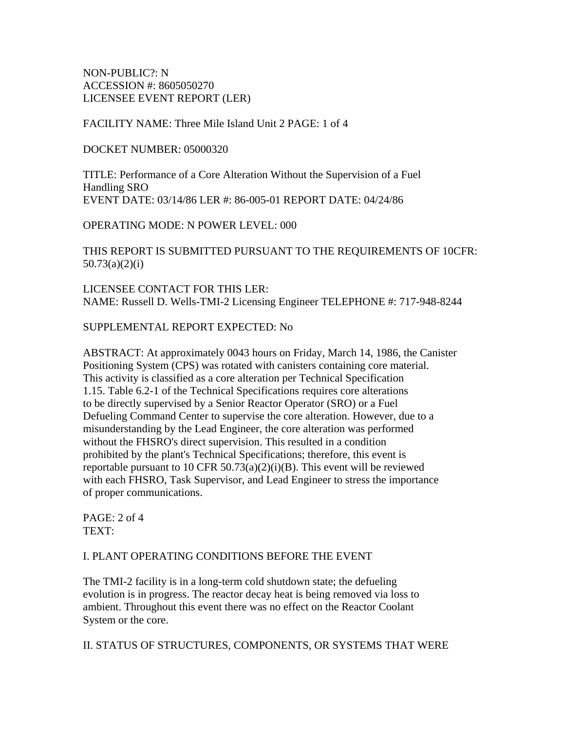NON-PUBLIC?: N ACCESSION #: 8605050270 LICENSEE EVENT REPORT (LER)

FACILITY NAME: Three Mile Island Unit 2 PAGE: 1 of 4

#### DOCKET NUMBER: 05000320

TITLE: Performance of a Core Alteration Without the Supervision of a Fuel Handling SRO EVENT DATE: 03/14/86 LER #: 86-005-01 REPORT DATE: 04/24/86

OPERATING MODE: N POWER LEVEL: 000

THIS REPORT IS SUBMITTED PURSUANT TO THE REQUIREMENTS OF 10CFR: 50.73(a)(2)(i)

LICENSEE CONTACT FOR THIS LER: NAME: Russell D. Wells-TMI-2 Licensing Engineer TELEPHONE #: 717-948-8244

SUPPLEMENTAL REPORT EXPECTED: No

ABSTRACT: At approximately 0043 hours on Friday, March 14, 1986, the Canister Positioning System (CPS) was rotated with canisters containing core material. This activity is classified as a core alteration per Technical Specification 1.15. Table 6.2-1 of the Technical Specifications requires core alterations to be directly supervised by a Senior Reactor Operator (SRO) or a Fuel Defueling Command Center to supervise the core alteration. However, due to a misunderstanding by the Lead Engineer, the core alteration was performed without the FHSRO's direct supervision. This resulted in a condition prohibited by the plant's Technical Specifications; therefore, this event is reportable pursuant to 10 CFR  $50.73(a)(2)(i)(B)$ . This event will be reviewed with each FHSRO, Task Supervisor, and Lead Engineer to stress the importance of proper communications.

PAGE: 2 of 4 TEXT:

#### I. PLANT OPERATING CONDITIONS BEFORE THE EVENT

The TMI-2 facility is in a long-term cold shutdown state; the defueling evolution is in progress. The reactor decay heat is being removed via loss to ambient. Throughout this event there was no effect on the Reactor Coolant System or the core.

II. STATUS OF STRUCTURES, COMPONENTS, OR SYSTEMS THAT WERE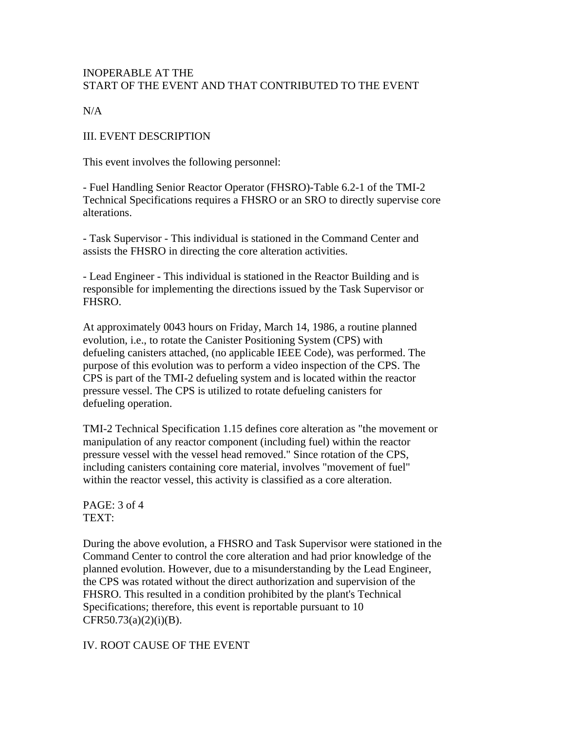### INOPERABLE AT THE START OF THE EVENT AND THAT CONTRIBUTED TO THE EVENT

 $N/A$ 

III. EVENT DESCRIPTION

This event involves the following personnel:

- Fuel Handling Senior Reactor Operator (FHSRO)-Table 6.2-1 of the TMI-2 Technical Specifications requires a FHSRO or an SRO to directly supervise core alterations.

- Task Supervisor - This individual is stationed in the Command Center and assists the FHSRO in directing the core alteration activities.

- Lead Engineer - This individual is stationed in the Reactor Building and is responsible for implementing the directions issued by the Task Supervisor or FHSRO.

At approximately 0043 hours on Friday, March 14, 1986, a routine planned evolution, i.e., to rotate the Canister Positioning System (CPS) with defueling canisters attached, (no applicable IEEE Code), was performed. The purpose of this evolution was to perform a video inspection of the CPS. The CPS is part of the TMI-2 defueling system and is located within the reactor pressure vessel. The CPS is utilized to rotate defueling canisters for defueling operation.

TMI-2 Technical Specification 1.15 defines core alteration as "the movement or manipulation of any reactor component (including fuel) within the reactor pressure vessel with the vessel head removed." Since rotation of the CPS, including canisters containing core material, involves "movement of fuel" within the reactor vessel, this activity is classified as a core alteration.

PAGE: 3 of 4 TEXT:

During the above evolution, a FHSRO and Task Supervisor were stationed in the Command Center to control the core alteration and had prior knowledge of the planned evolution. However, due to a misunderstanding by the Lead Engineer, the CPS was rotated without the direct authorization and supervision of the FHSRO. This resulted in a condition prohibited by the plant's Technical Specifications; therefore, this event is reportable pursuant to 10  $CFR50.73(a)(2)(i)(B).$ 

IV. ROOT CAUSE OF THE EVENT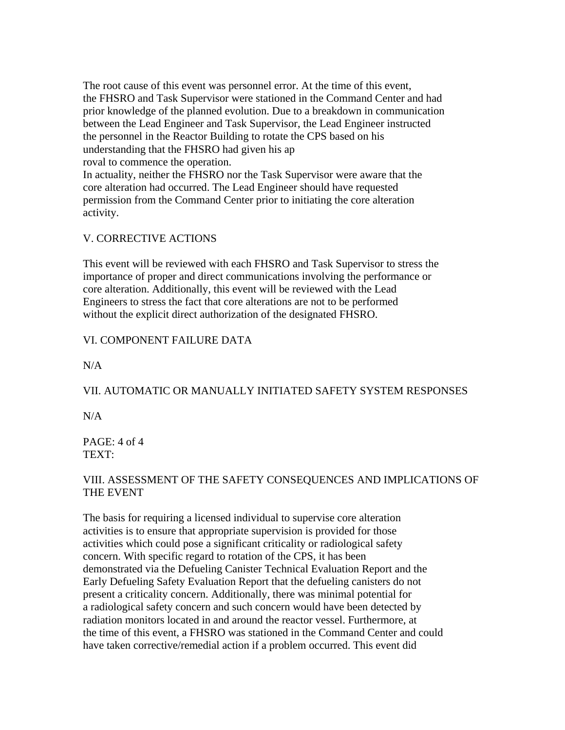The root cause of this event was personnel error. At the time of this event, the FHSRO and Task Supervisor were stationed in the Command Center and had prior knowledge of the planned evolution. Due to a breakdown in communication between the Lead Engineer and Task Supervisor, the Lead Engineer instructed the personnel in the Reactor Building to rotate the CPS based on his understanding that the FHSRO had given his ap roval to commence the operation.

In actuality, neither the FHSRO nor the Task Supervisor were aware that the core alteration had occurred. The Lead Engineer should have requested permission from the Command Center prior to initiating the core alteration activity.

### V. CORRECTIVE ACTIONS

This event will be reviewed with each FHSRO and Task Supervisor to stress the importance of proper and direct communications involving the performance or core alteration. Additionally, this event will be reviewed with the Lead Engineers to stress the fact that core alterations are not to be performed without the explicit direct authorization of the designated FHSRO.

## VI. COMPONENT FAILURE DATA

N/A

# VII. AUTOMATIC OR MANUALLY INITIATED SAFETY SYSTEM RESPONSES

 $N/A$ 

PAGE: 4 of 4 TEXT:

## VIII. ASSESSMENT OF THE SAFETY CONSEQUENCES AND IMPLICATIONS OF THE EVENT

The basis for requiring a licensed individual to supervise core alteration activities is to ensure that appropriate supervision is provided for those activities which could pose a significant criticality or radiological safety concern. With specific regard to rotation of the CPS, it has been demonstrated via the Defueling Canister Technical Evaluation Report and the Early Defueling Safety Evaluation Report that the defueling canisters do not present a criticality concern. Additionally, there was minimal potential for a radiological safety concern and such concern would have been detected by radiation monitors located in and around the reactor vessel. Furthermore, at the time of this event, a FHSRO was stationed in the Command Center and could have taken corrective/remedial action if a problem occurred. This event did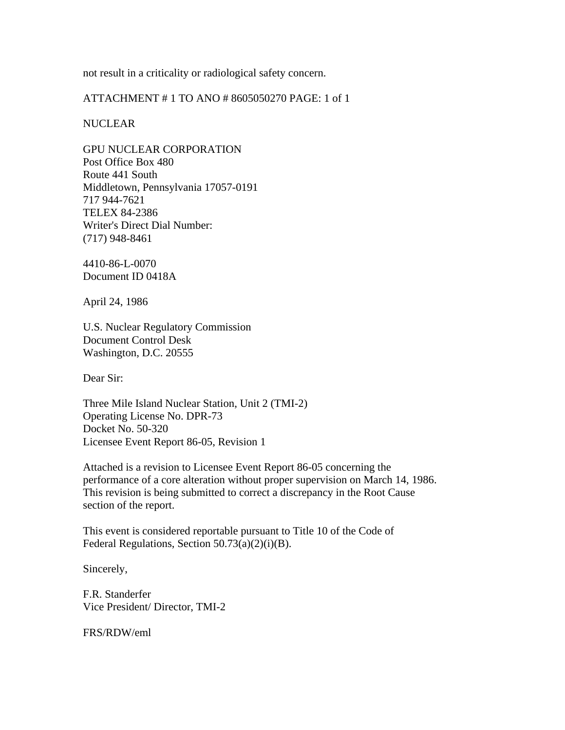not result in a criticality or radiological safety concern.

ATTACHMENT # 1 TO ANO # 8605050270 PAGE: 1 of 1

#### NUCLEAR

GPU NUCLEAR CORPORATION Post Office Box 480 Route 441 South Middletown, Pennsylvania 17057-0191 717 944-7621 TELEX 84-2386 Writer's Direct Dial Number: (717) 948-8461

4410-86-L-0070 Document ID 0418A

April 24, 1986

U.S. Nuclear Regulatory Commission Document Control Desk Washington, D.C. 20555

Dear Sir:

Three Mile Island Nuclear Station, Unit 2 (TMI-2) Operating License No. DPR-73 Docket No. 50-320 Licensee Event Report 86-05, Revision 1

Attached is a revision to Licensee Event Report 86-05 concerning the performance of a core alteration without proper supervision on March 14, 1986. This revision is being submitted to correct a discrepancy in the Root Cause section of the report.

This event is considered reportable pursuant to Title 10 of the Code of Federal Regulations, Section 50.73(a)(2)(i)(B).

Sincerely,

F.R. Standerfer Vice President/ Director, TMI-2

FRS/RDW/eml